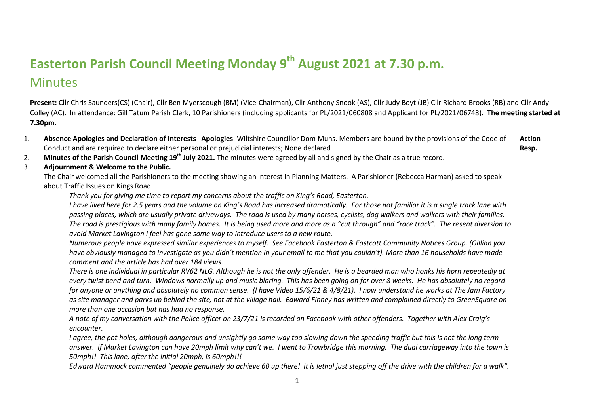## **Easterton Parish Council Meeting Monday 9 th August 2021 at 7.30 p.m.**

## **Minutes**

**Present:** Cllr Chris Saunders(CS) (Chair), Cllr Ben Myerscough (BM) (Vice-Chairman), Cllr Anthony Snook (AS), Cllr Judy Boyt (JB) Cllr Richard Brooks (RB) and Cllr Andy Colley (AC). In attendance: Gill Tatum Parish Clerk, 10 Parishioners (including applicants for PL/2021/060808 and Applicant for PL/2021/06748). **The meeting started at 7.30pm.**

- 1. **Absence Apologies and Declaration of Interests Apologies**: Wiltshire Councillor Dom Muns. Members are bound by the provisions of the Code of Conduct and are required to declare either personal or prejudicial interests; None declared **Action Resp.**
- 2. **Minutes of the Parish Council Meeting 19th July 2021.** The minutes were agreed by all and signed by the Chair as a true record.
- 3. **Adjournment & Welcome to the Public.**

The Chair welcomed all the Parishioners to the meeting showing an interest in Planning Matters. A Parishioner (Rebecca Harman) asked to speak about Traffic Issues on Kings Road.

*Thank you for giving me time to report my concerns about the traffic on King's Road, Easterton.*

*I have lived here for 2.5 years and the volume on King's Road has increased dramatically. For those not familiar it is a single track lane with passing places, which are usually private driveways. The road is used by many horses, cyclists, dog walkers and walkers with their families. The road is prestigious with many family homes. It is being used more and more as a "cut through" and "race track". The resent diversion to avoid Market Lavington I feel has gone some way to introduce users to a new route.*

*Numerous people have expressed similar experiences to myself. See Facebook Easterton & Eastcott Community Notices Group. (Gillian you have obviously managed to investigate as you didn't mention in your email to me that you couldn't). More than 16 households have made comment and the article has had over 184 views.*

*There is one individual in particular RV62 NLG. Although he is not the only offender. He is a bearded man who honks his horn repeatedly at every twist bend and turn. Windows normally up and music blaring. This has been going on for over 8 weeks. He has absolutely no regard for anyone or anything and absolutely no common sense. (I have Video 15/6/21 & 4/8/21). I now understand he works at The Jam Factory as site manager and parks up behind the site, not at the village hall. Edward Finney has written and complained directly to GreenSquare on more than one occasion but has had no response.*

*A note of my conversation with the Police officer on 23/7/21 is recorded on Facebook with other offenders. Together with Alex Craig's encounter.*

*I agree, the pot holes, although dangerous and unsightly go some way too slowing down the speeding traffic but this is not the long term answer. If Market Lavington can have 20mph limit why can't we. I went to Trowbridge this morning. The dual carriageway into the town is 50mph!! This lane, after the initial 20mph, is 60mph!!!*

*Edward Hammock commented "people genuinely do achieve 60 up there! It is lethal just stepping off the drive with the children for a walk".*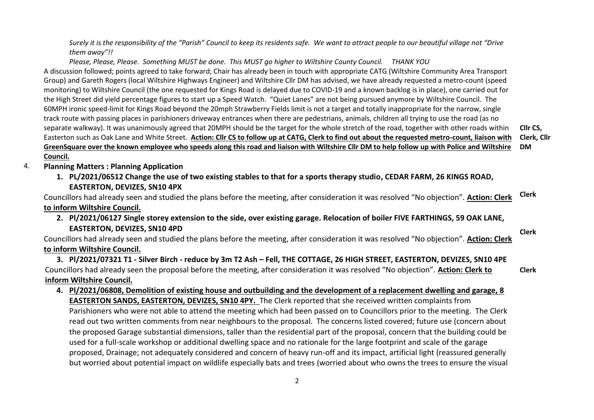*Surely it is the responsibility of the "Parish" Council to keep its residents safe. We want to attract people to our beautiful village not "Drive them away"!!*

*Please, Please, Please. Something MUST be done. This MUST go higher to Wiltshire County Council. THANK YOU* A discussion followed; points agreed to take forward; Chair has already been in touch with appropriate CATG (Wiltshire Community Area Transport Group) and Gareth Rogers (local Wiltshire Highways Engineer) and Wiltshire Cllr DM has advised, we have already requested a metro-count (speed monitoring) to Wiltshire Council (the one requested for Kings Road is delayed due to COVID-19 and a known backlog is in place), one carried out for the High Street did yield percentage figures to start up a Speed Watch. "Quiet Lanes" are not being pursued anymore by Wiltshire Council. The 60MPH ironic speed-limit for Kings Road beyond the 20mph Strawberry Fields limit is not a target and totally inappropriate for the narrow, single track route with passing places in parishioners driveway entrances when there are pedestrians, animals, children all trying to use the road (as no separate walkway). It was unanimously agreed that 20MPH should be the target for the whole stretch of the road, together with other roads within Easterton such as Oak Lane and White Street. **Action: Cllr CS to follow up at CATG, Clerk to find out about the requested metro-count, liaison with GreenSquare over the known employee who speeds along this road and liaison with Wiltshire Cllr DM to help follow up with Police and Wiltshire Council.**

**Cllr CS, Clerk, Cllr DM**

**Clerk**

- 4. **Planning Matters : Planning Application** 
	- **1. PL/2021/06512 Change the use of two existing stables to that for a sports therapy studio, CEDAR FARM, 26 KINGS ROAD, EASTERTON, DEVIZES, SN10 4PX**

Councillors had already seen and studied the plans before the meeting, after consideration it was resolved "No objection". **Action: Clerk to inform Wiltshire Council. Clerk**

**2. Pl/2021/06127 Single storey extension to the side, over existing garage. Relocation of boiler FIVE FARTHINGS, 59 OAK LANE, EASTERTON, DEVIZES, SN10 4PD**

Councillors had already seen and studied the plans before the meeting, after consideration it was resolved "No objection". **Action: Clerk to inform Wiltshire Council.**

**3. Pl/2021/07321 T1 - Silver Birch - reduce by 3m T2 Ash – Fell, THE COTTAGE, 26 HIGH STREET, EASTERTON, DEVIZES, SN10 4PE** Councillors had already seen the proposal before the meeting, after consideration it was resolved "No objection". **Action: Clerk to inform Wiltshire Council. Clerk**

**4. Pl/2021/06808, Demolition of existing house and outbuilding and the development of a replacement dwelling and garage, 8 EASTERTON SANDS, EASTERTON, DEVIZES, SN10 4PY.** The Clerk reported that she received written complaints from Parishioners who were not able to attend the meeting which had been passed on to Councillors prior to the meeting. The Clerk read out two written comments from near neighbours to the proposal. The concerns listed covered; future use (concern about the proposed Garage substantial dimensions, taller than the residential part of the proposal, concern that the building could be used for a full-scale workshop or additional dwelling space and no rationale for the large footprint and scale of the garage proposed, Drainage; not adequately considered and concern of heavy run-off and its impact, artificial light (reassured generally but worried about potential impact on wildlife especially bats and trees (worried about who owns the trees to ensure the visual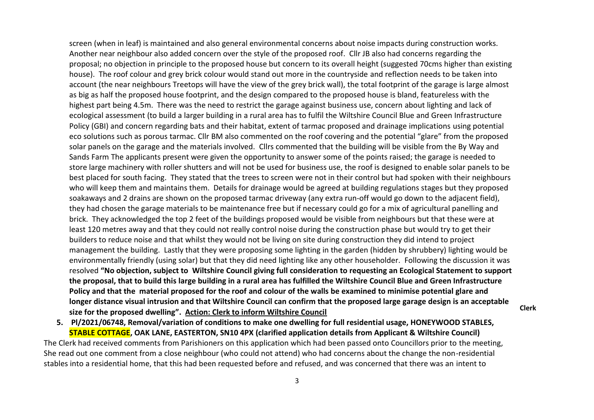screen (when in leaf) is maintained and also general environmental concerns about noise impacts during construction works. Another near neighbour also added concern over the style of the proposed roof. Cllr JB also had concerns regarding the proposal; no objection in principle to the proposed house but concern to its overall height (suggested 70cms higher than existing house). The roof colour and grey brick colour would stand out more in the countryside and reflection needs to be taken into account (the near neighbours Treetops will have the view of the grey brick wall), the total footprint of the garage is large almost as big as half the proposed house footprint, and the design compared to the proposed house is bland, featureless with the highest part being 4.5m. There was the need to restrict the garage against business use, concern about lighting and lack of ecological assessment (to build a larger building in a rural area has to fulfil the Wiltshire Council Blue and Green Infrastructure Policy (GBI) and concern regarding bats and their habitat, extent of tarmac proposed and drainage implications using potential eco solutions such as porous tarmac. Cllr BM also commented on the roof covering and the potential "glare" from the proposed solar panels on the garage and the materials involved. Cllrs commented that the building will be visible from the By Way and Sands Farm The applicants present were given the opportunity to answer some of the points raised; the garage is needed to store large machinery with roller shutters and will not be used for business use, the roof is designed to enable solar panels to be best placed for south facing. They stated that the trees to screen were not in their control but had spoken with their neighbours who will keep them and maintains them. Details for drainage would be agreed at building regulations stages but they proposed soakaways and 2 drains are shown on the proposed tarmac driveway (any extra run-off would go down to the adjacent field), they had chosen the garage materials to be maintenance free but if necessary could go for a mix of agricultural panelling and brick. They acknowledged the top 2 feet of the buildings proposed would be visible from neighbours but that these were at least 120 metres away and that they could not really control noise during the construction phase but would try to get their builders to reduce noise and that whilst they would not be living on site during construction they did intend to project management the building. Lastly that they were proposing some lighting in the garden (hidden by shrubbery) lighting would be environmentally friendly (using solar) but that they did need lighting like any other householder. Following the discussion it was resolved **"No objection, subject to Wiltshire Council giving full consideration to requesting an Ecological Statement to support the proposal, that to build this large building in a rural area has fulfilled the Wiltshire Council Blue and Green Infrastructure Policy and that the material proposed for the roof and colour of the walls be examined to minimise potential glare and longer distance visual intrusion and that Wiltshire Council can confirm that the proposed large garage design is an acceptable size for the proposed dwelling". Action: Clerk to inform Wiltshire Council**

**5. Pl/2021/06748, Removal/variation of conditions to make one dwelling for full residential usage, HONEYWOOD STABLES, STABLE COTTAGE, OAK LANE, EASTERTON, SN10 4PX (clarified application details from Applicant & Wiltshire Council)**

The Clerk had received comments from Parishioners on this application which had been passed onto Councillors prior to the meeting, She read out one comment from a close neighbour (who could not attend) who had concerns about the change the non-residential stables into a residential home, that this had been requested before and refused, and was concerned that there was an intent to

**Clerk**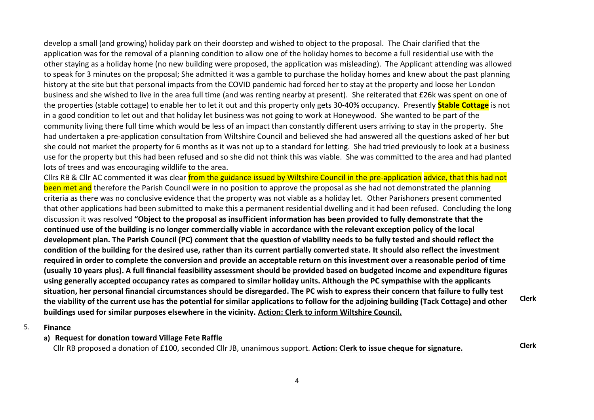develop a small (and growing) holiday park on their doorstep and wished to object to the proposal. The Chair clarified that the application was for the removal of a planning condition to allow one of the holiday homes to become a full residential use with the other staying as a holiday home (no new building were proposed, the application was misleading). The Applicant attending was allowed to speak for 3 minutes on the proposal; She admitted it was a gamble to purchase the holiday homes and knew about the past planning history at the site but that personal impacts from the COVID pandemic had forced her to stay at the property and loose her London business and she wished to live in the area full time (and was renting nearby at present). She reiterated that £26k was spent on one of the properties (stable cottage) to enable her to let it out and this property only gets 30-40% occupancy. Presently **Stable Cottage** is not in a good condition to let out and that holiday let business was not going to work at Honeywood. She wanted to be part of the community living there full time which would be less of an impact than constantly different users arriving to stay in the property. She had undertaken a pre-application consultation from Wiltshire Council and believed she had answered all the questions asked of her but she could not market the property for 6 months as it was not up to a standard for letting. She had tried previously to look at a business use for the property but this had been refused and so she did not think this was viable. She was committed to the area and had planted lots of trees and was encouraging wildlife to the area.

Cllrs RB & Cllr AC commented it was clear from the guidance issued by Wiltshire Council in the pre-application advice, that this had not been met and therefore the Parish Council were in no position to approve the proposal as she had not demonstrated the planning criteria as there was no conclusive evidence that the property was not viable as a holiday let. Other Parishoners present commented that other applications had been submitted to make this a permanent residential dwelling and it had been refused. Concluding the long discussion it was resolved **"Object to the proposal as insufficient information has been provided to fully demonstrate that the continued use of the building is no longer commercially viable in accordance with the relevant exception policy of the local development plan. The Parish Council (PC) comment that the question of viability needs to be fully tested and should reflect the condition of the building for the desired use, rather than its current partially converted state. It should also reflect the investment required in order to complete the conversion and provide an acceptable return on this investment over a reasonable period of time (usually 10 years plus). A full financial feasibility assessment should be provided based on budgeted income and expenditure figures using generally accepted occupancy rates as compared to similar holiday units. Although the PC sympathise with the applicants situation, her personal financial circumstances should be disregarded. The PC wish to express their concern that failure to fully test the viability of the current use has the potential for similar applications to follow for the adjoining building (Tack Cottage) and other buildings used for similar purposes elsewhere in the vicinity. Action: Clerk to inform Wiltshire Council. Clerk**

## 5. **Finance**

## **a) Request for donation toward Village Fete Raffle**

Cllr RB proposed a donation of £100, seconded Cllr JB, unanimous support. **Action: Clerk to issue cheque for signature. Clerk**